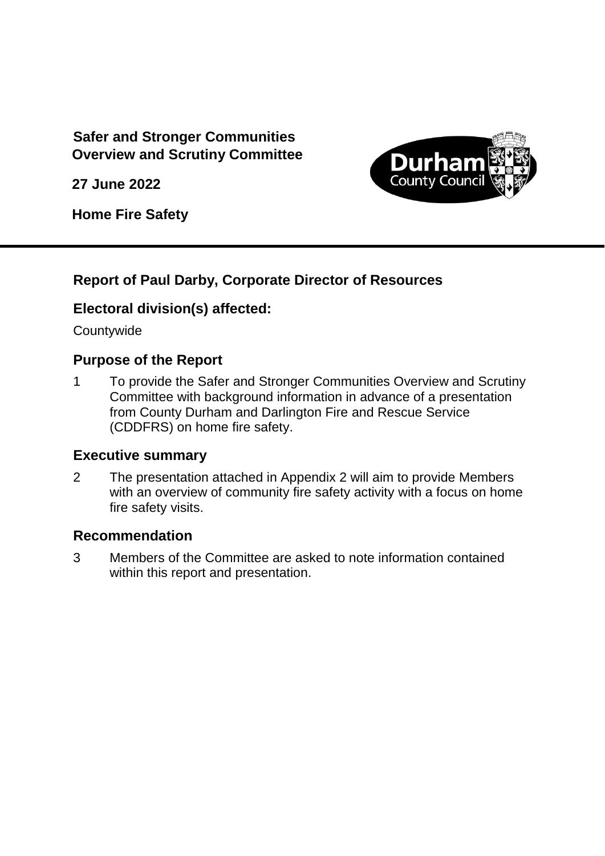## **Safer and Stronger Communities Overview and Scrutiny Committee**

**27 June 2022**



**Home Fire Safety** 

### **Report of Paul Darby, Corporate Director of Resources**

### **Electoral division(s) affected:**

Countywide

### **Purpose of the Report**

1 To provide the Safer and Stronger Communities Overview and Scrutiny Committee with background information in advance of a presentation from County Durham and Darlington Fire and Rescue Service (CDDFRS) on home fire safety.

#### **Executive summary**

2 The presentation attached in Appendix 2 will aim to provide Members with an overview of community fire safety activity with a focus on home fire safety visits.

#### **Recommendation**

3 Members of the Committee are asked to note information contained within this report and presentation.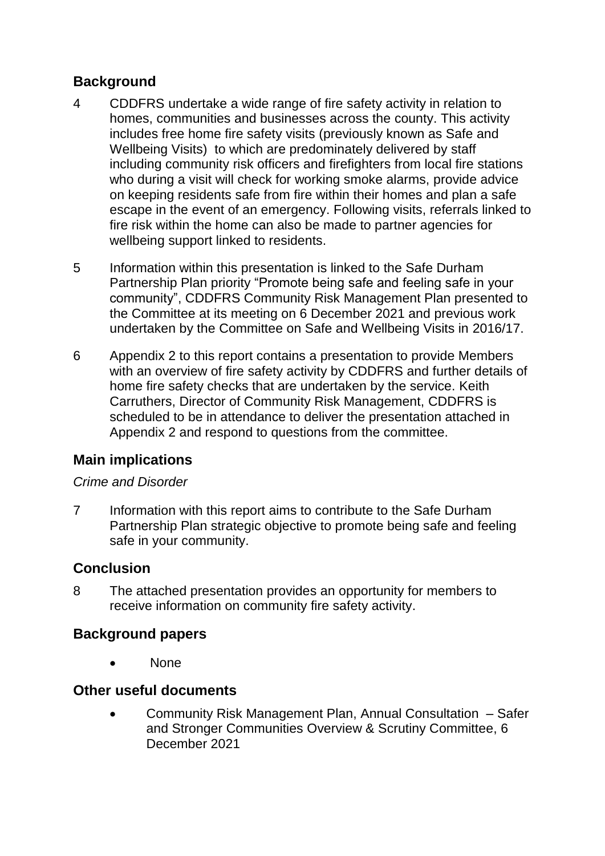## **Background**

- 4 CDDFRS undertake a wide range of fire safety activity in relation to homes, communities and businesses across the county. This activity includes free home fire safety visits (previously known as Safe and Wellbeing Visits) to which are predominately delivered by staff including community risk officers and firefighters from local fire stations who during a visit will check for working smoke alarms, provide advice on keeping residents safe from fire within their homes and plan a safe escape in the event of an emergency. Following visits, referrals linked to fire risk within the home can also be made to partner agencies for wellbeing support linked to residents.
- 5 Information within this presentation is linked to the Safe Durham Partnership Plan priority "Promote being safe and feeling safe in your community", CDDFRS Community Risk Management Plan presented to the Committee at its meeting on 6 December 2021 and previous work undertaken by the Committee on Safe and Wellbeing Visits in 2016/17.
- 6 Appendix 2 to this report contains a presentation to provide Members with an overview of fire safety activity by CDDFRS and further details of home fire safety checks that are undertaken by the service. Keith Carruthers, Director of Community Risk Management, CDDFRS is scheduled to be in attendance to deliver the presentation attached in Appendix 2 and respond to questions from the committee.

# **Main implications**

#### *Crime and Disorder*

7 Information with this report aims to contribute to the Safe Durham Partnership Plan strategic objective to promote being safe and feeling safe in your community.

### **Conclusion**

8 The attached presentation provides an opportunity for members to receive information on community fire safety activity.

### **Background papers**

None

#### **Other useful documents**

 Community Risk Management Plan, Annual Consultation – Safer and Stronger Communities Overview & Scrutiny Committee, 6 December 2021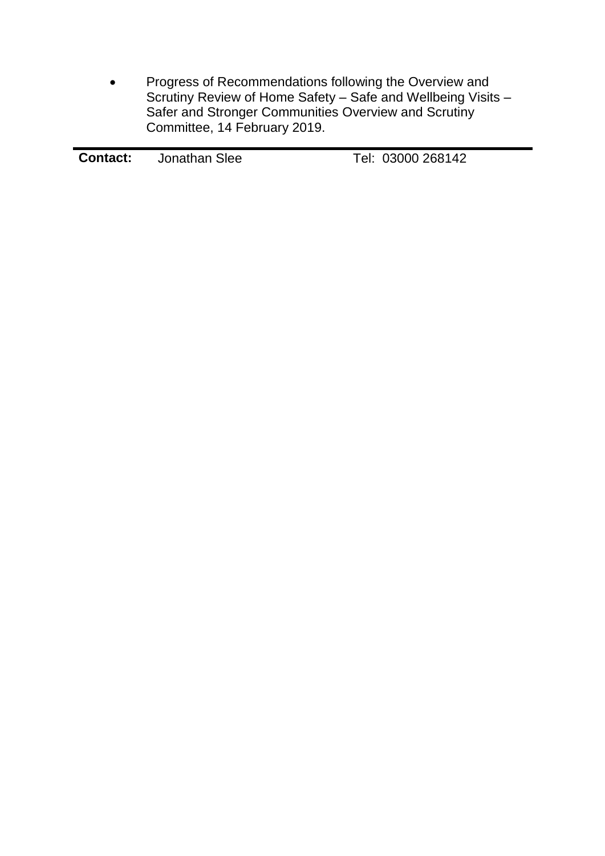• Progress of Recommendations following the Overview and Scrutiny Review of Home Safety – Safe and Wellbeing Visits – Safer and Stronger Communities Overview and Scrutiny Committee, 14 February 2019.

| <b>Contact:</b> | Jonathan Slee | Tel: 03000 268142 |
|-----------------|---------------|-------------------|
|                 |               |                   |